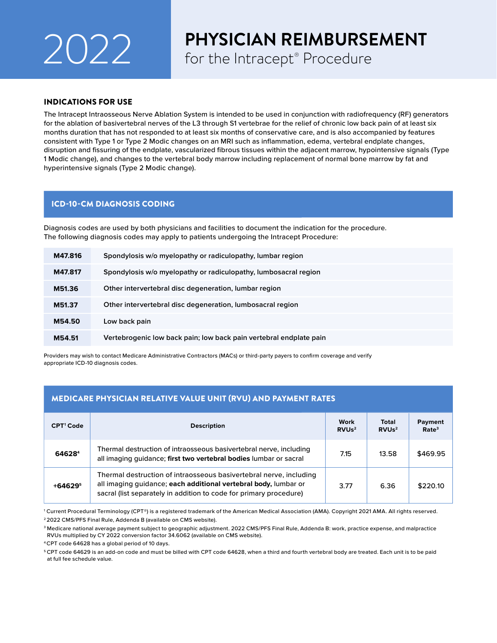# 2022 **PHYSICIAN REIMBURSI**<br>for the Intracept® Procedure

## **PHYSICIAN REIMBURSEMENT**

### INDICATIONS FOR USE

The Intracept Intraosseous Nerve Ablation System is intended to be used in conjunction with radiofrequency (RF) generators for the ablation of basivertebral nerves of the L3 through S1 vertebrae for the relief of chronic low back pain of at least six months duration that has not responded to at least six months of conservative care, and is also accompanied by features consistent with Type 1 or Type 2 Modic changes on an MRI such as inflammation, edema, vertebral endplate changes, disruption and fissuring of the endplate, vascularized fibrous tissues within the adjacent marrow, hypointensive signals (Type 1 Modic change), and changes to the vertebral body marrow including replacement of normal bone marrow by fat and hyperintensive signals (Type 2 Modic change).

## ICD-10-CM DIAGNOSIS CODING

Diagnosis codes are used by both physicians and facilities to document the indication for the procedure. The following diagnosis codes may apply to patients undergoing the Intracept Procedure:

| M47.816 | Spondylosis w/o myelopathy or radiculopathy, lumbar region         |
|---------|--------------------------------------------------------------------|
| M47.817 | Spondylosis w/o myelopathy or radiculopathy, lumbosacral region    |
| M51.36  | Other intervertebral disc degeneration, lumbar region              |
| M51.37  | Other intervertebral disc degeneration, lumbosacral region         |
| M54.50  | Low back pain                                                      |
| M54.51  | Vertebrogenic low back pain; low back pain vertebral endplate pain |

Providers may wish to contact Medicare Administrative Contractors (MACs) or third-party payers to confirm coverage and verify appropriate ICD-10 diagnosis codes.

## MEDICARE PHYSICIAN RELATIVE VALUE UNIT (RVU) AND PAYMENT RATES

| CPT <sup>1</sup> Code | <b>Description</b>                                                                                                                                                                                          | Work<br>RVUs <sup>2</sup> | Total<br>RVUs <sup>2</sup> | Payment<br>Rate <sup>3</sup> |
|-----------------------|-------------------------------------------------------------------------------------------------------------------------------------------------------------------------------------------------------------|---------------------------|----------------------------|------------------------------|
| 646284                | Thermal destruction of intraosseous basivertebral nerve, including<br>all imaging quidance; first two vertebral bodies lumbar or sacral                                                                     | 7.15                      | 13.58                      | \$469.95                     |
| $+64629^5$            | Thermal destruction of intraosseous basivertebral nerve, including<br>all imaging guidance; each additional vertebral body, lumbar or<br>sacral (list separately in addition to code for primary procedure) | 3.77                      | 6.36                       | \$220.10                     |

1 Current Procedural Terminology (CPT®) is a registered trademark of the American Medical Association (AMA). Copyright 2021 AMA. All rights reserved. 2 2022 CMS/PFS Final Rule, Addenda B (available on CMS website).

3 Medicare national average payment subject to geographic adjustment. 2022 CMS/PFS Final Rule, Addenda B: work, practice expense, and malpractice RVUs multiplied by CY 2022 conversion factor 34.6062 (available on CMS website).

4 CPT code 64628 has a global period of 10 days.

5 CPT code 64629 is an add-on code and must be billed with CPT code 64628, when a third and fourth vertebral body are treated. Each unit is to be paid at full fee schedule value.